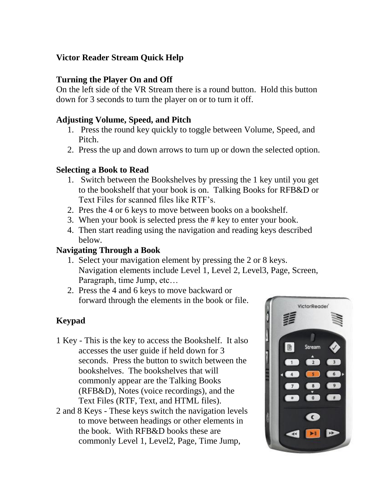# **Victor Reader Stream Quick Help**

## **Turning the Player On and Off**

On the left side of the VR Stream there is a round button. Hold this button down for 3 seconds to turn the player on or to turn it off.

### **Adjusting Volume, Speed, and Pitch**

- 1. Press the round key quickly to toggle between Volume, Speed, and Pitch.
- 2. Press the up and down arrows to turn up or down the selected option.

#### **Selecting a Book to Read**

- 1. Switch between the Bookshelves by pressing the 1 key until you get to the bookshelf that your book is on. Talking Books for RFB&D or Text Files for scanned files like RTF's.
- 2. Pres the 4 or 6 keys to move between books on a bookshelf.
- 3. When your book is selected press the # key to enter your book.
- 4. Then start reading using the navigation and reading keys described below.

### **Navigating Through a Book**

- 1. Select your mavigation element by pressing the 2 or 8 keys. Navigation elements include Level 1, Level 2, Level3, Page, Screen, Paragraph, time Jump, etc…
- 2. Press the 4 and 6 keys to move backward or forward through the elements in the book or file.

# **Keypad**

- 1 Key This is the key to access the Bookshelf. It also accesses the user guide if held down for 3 seconds. Press the button to switch between the bookshelves. The bookshelves that will commonly appear are the Talking Books (RFB&D), Notes (voice recordings), and the Text Files (RTF, Text, and HTML files).
- 2 and 8 Keys These keys switch the navigation levels to move between headings or other elements in the book. With RFB&D books these are commonly Level 1, Level2, Page, Time Jump,